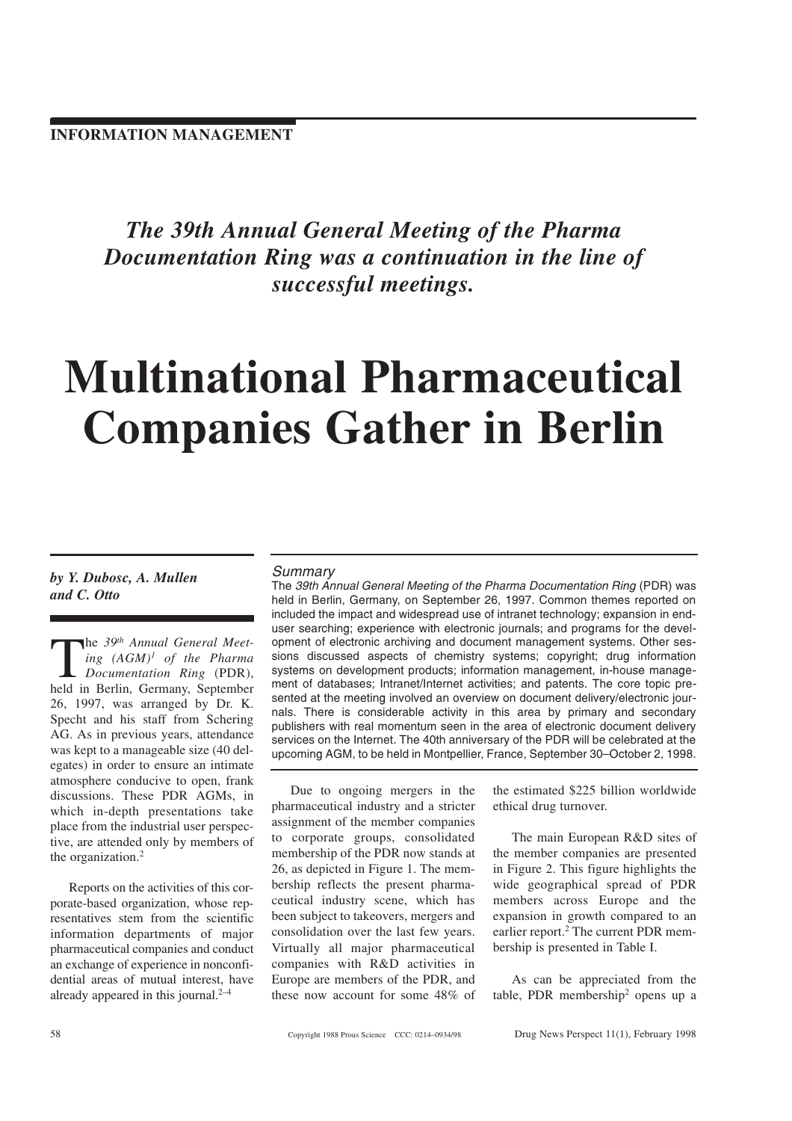The 39th Annual General Meeting of the Pharma Documentation Ring was a continuation in the line of successful meetings.

# Multinational Pharmaceutical Companies Gather in Berlin

by Y. Dubosc, A. Mullen and C. Otto

The 39<sup>th</sup> Annual General Meet-<br>ing  $(AGM)^{l}$  of the Pharma<br>Documentation Ring (PDR),<br>held in Berlin Germany Sentember ing  $(AGM)^{I}$  of the Pharma Documentation Ring (PDR), held in Berlin, Germany, September 26, 1997, was arranged by Dr. K. Specht and his staff from Schering AG. As in previous years, attendance was kept to a manageable size (40 delegates) in order to ensure an intimate atmosphere conducive to open, frank discussions. These PDR AGMs, in which in-depth presentations take place from the industrial user perspective, are attended only by members of the organization.2

Reports on the activities of this corporate-based organization, whose representatives stem from the scientific information departments of major pharmaceutical companies and conduct an exchange of experience in nonconfidential areas of mutual interest, have already appeared in this journal. $2-4$ 

#### **Summary**

The 39th Annual General Meeting of the Pharma Documentation Ring (PDR) was held in Berlin, Germany, on September 26, 1997. Common themes reported on included the impact and widespread use of intranet technology; expansion in enduser searching; experience with electronic journals; and programs for the development of electronic archiving and document management systems. Other sessions discussed aspects of chemistry systems; copyright; drug information systems on development products; information management, in-house management of databases; Intranet/Internet activities; and patents. The core topic presented at the meeting involved an overview on document delivery/electronic journals. There is considerable activity in this area by primary and secondary publishers with real momentum seen in the area of electronic document delivery services on the Internet. The 40th anniversary of the PDR will be celebrated at the upcoming AGM, to be held in Montpellier, France, September 30–October 2, 1998.

Due to ongoing mergers in the pharmaceutical industry and a stricter assignment of the member companies to corporate groups, consolidated membership of the PDR now stands at 26, as depicted in Figure 1. The membership reflects the present pharmaceutical industry scene, which has been subject to takeovers, mergers and consolidation over the last few years. Virtually all major pharmaceutical companies with R&D activities in Europe are members of the PDR, and these now account for some 48% of

the estimated \$225 billion worldwide ethical drug turnover.

The main European R&D sites of the member companies are presented in Figure 2. This figure highlights the wide geographical spread of PDR members across Europe and the expansion in growth compared to an earlier report.<sup>2</sup> The current PDR membership is presented in Table I.

As can be appreciated from the table, PDR membership2 opens up a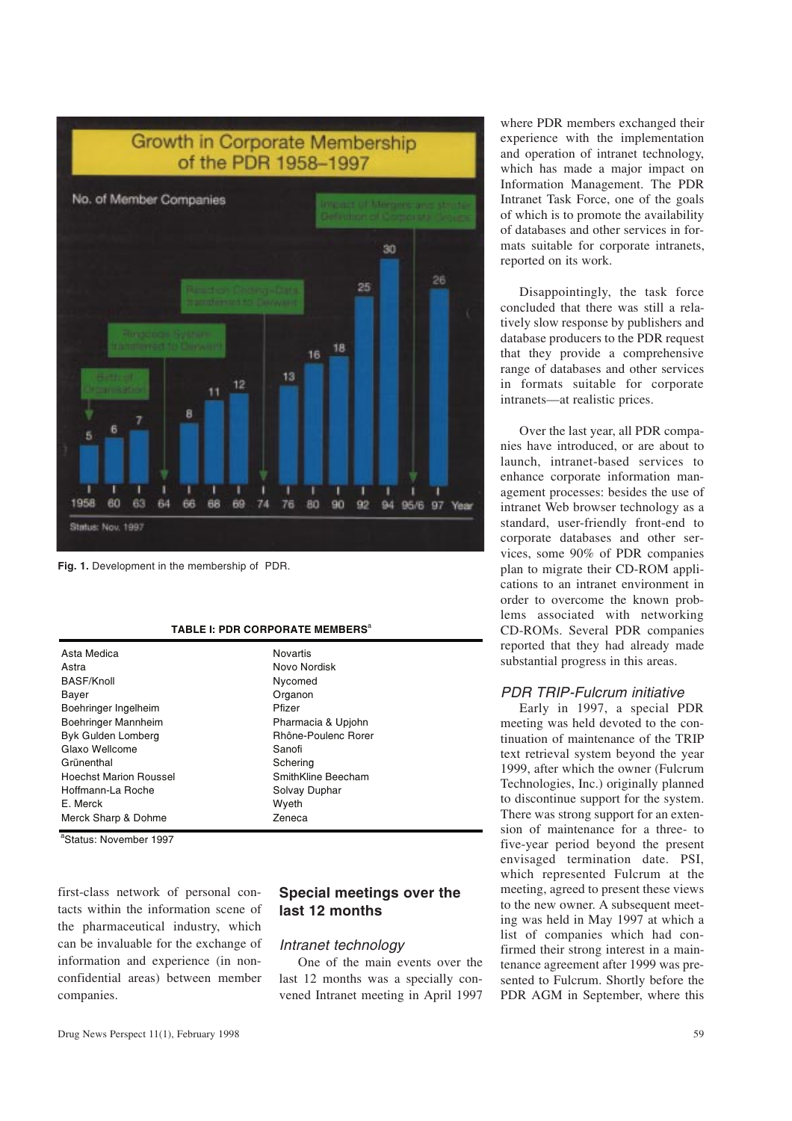

Fig. 1. Development in the membership of PDR.

|  | TABLE I: PDR CORPORATE MEMBERS <sup>a</sup> |  |
|--|---------------------------------------------|--|
|--|---------------------------------------------|--|

| Asta Medica                   | Novartis            |  |
|-------------------------------|---------------------|--|
| Astra                         | Novo Nordisk        |  |
| BASF/Knoll                    | Nycomed             |  |
| Bayer                         | Organon             |  |
| Boehringer Ingelheim          | Pfizer              |  |
| Boehringer Mannheim           | Pharmacia & Upjohn  |  |
| Byk Gulden Lomberg            | Rhône-Poulenc Rorer |  |
| Glaxo Wellcome                | Sanofi              |  |
| Grünenthal                    | Schering            |  |
| <b>Hoechst Marion Roussel</b> | SmithKline Beecham  |  |
| Hoffmann-La Roche             | Solvay Duphar       |  |
| E. Merck                      | Wyeth               |  |
| Merck Sharp & Dohme           | Zeneca              |  |
| $2 - 1$                       |                     |  |

<sup>a</sup>Status: November 1997

first-class network of personal contacts within the information scene of the pharmaceutical industry, which can be invaluable for the exchange of information and experience (in nonconfidential areas) between member companies.

## Special meetings over the last 12 months

## Intranet technology

One of the main events over the last 12 months was a specially convened Intranet meeting in April 1997

where PDR members exchanged their experience with the implementation and operation of intranet technology, which has made a major impact on Information Management. The PDR Intranet Task Force, one of the goals of which is to promote the availability of databases and other services in formats suitable for corporate intranets, reported on its work.

Disappointingly, the task force concluded that there was still a relatively slow response by publishers and database producers to the PDR request that they provide a comprehensive range of databases and other services in formats suitable for corporate intranets—at realistic prices.

Over the last year, all PDR companies have introduced, or are about to launch, intranet-based services to enhance corporate information management processes: besides the use of intranet Web browser technology as a standard, user-friendly front-end to corporate databases and other services, some 90% of PDR companies plan to migrate their CD-ROM applications to an intranet environment in order to overcome the known problems associated with networking CD-ROMs. Several PDR companies reported that they had already made substantial progress in this areas.

## PDR TRIP-Fulcrum initiative

Early in 1997, a special PDR meeting was held devoted to the continuation of maintenance of the TRIP text retrieval system beyond the year 1999, after which the owner (Fulcrum Technologies, Inc.) originally planned to discontinue support for the system. There was strong support for an extension of maintenance for a three- to five-year period beyond the present envisaged termination date. PSI, which represented Fulcrum at the meeting, agreed to present these views to the new owner. A subsequent meeting was held in May 1997 at which a list of companies which had confirmed their strong interest in a maintenance agreement after 1999 was presented to Fulcrum. Shortly before the PDR AGM in September, where this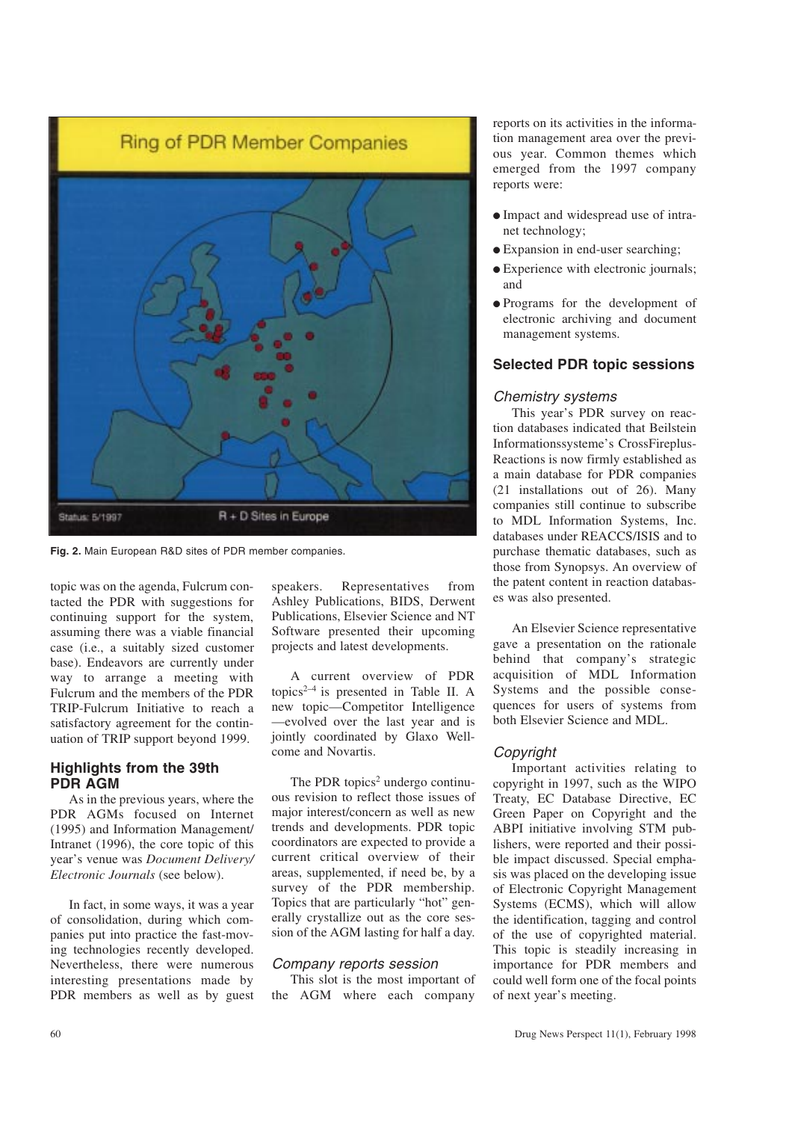

Fig. 2. Main European R&D sites of PDR member companies.

topic was on the agenda, Fulcrum contacted the PDR with suggestions for continuing support for the system, assuming there was a viable financial case (i.e., a suitably sized customer base). Endeavors are currently under way to arrange a meeting with Fulcrum and the members of the PDR TRIP-Fulcrum Initiative to reach a satisfactory agreement for the continuation of TRIP support beyond 1999.

## Highlights from the 39th PDR AGM

As in the previous years, where the PDR AGMs focused on Internet (1995) and Information Management/ Intranet (1996), the core topic of this year's venue was *Document Delivery* Electronic Journals (see below).

In fact, in some ways, it was a year of consolidation, during which companies put into practice the fast-moving technologies recently developed. Nevertheless, there were numerous interesting presentations made by PDR members as well as by guest speakers. Representatives from Ashley Publications, BIDS, Derwent Publications, Elsevier Science and NT Software presented their upcoming projects and latest developments.

A current overview of PDR topics<sup>2-4</sup> is presented in Table II. A new topic—Competitor Intelligence evolved over the last year and is jointly coordinated by Glaxo Wellcome and Novartis.

The PDR topics<sup>2</sup> undergo continuous revision to reflect those issues of major interest/concern as well as new trends and developments. PDR topic coordinators are expected to provide a current critical overview of their areas, supplemented, if need be, by a survey of the PDR membership. Topics that are particularly "hot" generally crystallize out as the core session of the AGM lasting for half a day.

## Company reports session

This slot is the most important of the AGM where each company

reports on its activities in the information management area over the previous year. Common themes which emerged from the 1997 company reports were:

- $\bullet$  Impact and widespread use of intranet technology;
- Expansion in end-user searching;
- Experience with electronic journals; and
- <sup>l</sup>Programs for the development of electronic archiving and document management systems.

## Selected PDR topic sessions

#### Chemistry systems

This year's PDR survey on reaction databases indicated that Beilstein Informationssysteme's CrossFireplus-Reactions is now firmly established as a main database for PDR companies (21 installations out of 26). Many companies still continue to subscribe to MDL Information Systems, Inc. databases under REACCS/ISIS and to purchase thematic databases, such as those from Synopsys. An overview of the patent content in reaction databases was also presented.

An Elsevier Science representative gave a presentation on the rationale behind that company's strategic acquisition of MDL Information Systems and the possible consequences for users of systems from both Elsevier Science and MDL.

## Copyright

Important activities relating to copyright in 1997, such as the WIPO Treaty, EC Database Directive, EC Green Paper on Copyright and the ABPI initiative involving STM publishers, were reported and their possible impact discussed. Special emphasis was placed on the developing issue of Electronic Copyright Management Systems (ECMS), which will allow the identification, tagging and control of the use of copyrighted material. This topic is steadily increasing in importance for PDR members and could well form one of the focal points of next year's meeting.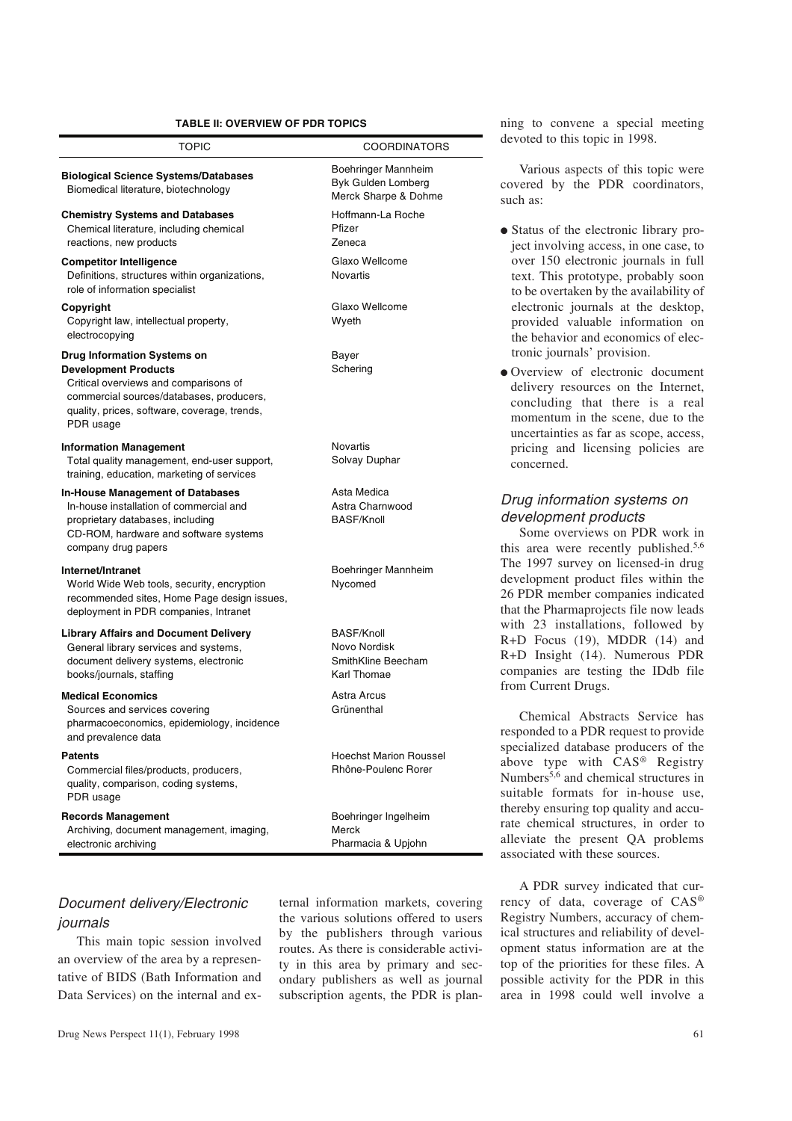## TABLE II: OVERVIEW OF PDR TOPICS

| <b>TOPIC</b>                                                                                                                                                                                                        | <b>COORDINATORS</b>                                                    |
|---------------------------------------------------------------------------------------------------------------------------------------------------------------------------------------------------------------------|------------------------------------------------------------------------|
| <b>Biological Science Systems/Databases</b><br>Biomedical literature, biotechnology                                                                                                                                 | Boehringer Mannheim<br>Byk Gulden Lomberg<br>Merck Sharpe & Dohme      |
| <b>Chemistry Systems and Databases</b><br>Chemical literature, including chemical<br>reactions, new products                                                                                                        | Hoffmann-La Roche<br>Pfizer<br>Zeneca                                  |
| <b>Competitor Intelligence</b><br>Definitions, structures within organizations,<br>role of information specialist                                                                                                   | Glaxo Wellcome<br><b>Novartis</b>                                      |
| Copyright<br>Copyright law, intellectual property,<br>electrocopying                                                                                                                                                | Glaxo Wellcome<br>Wyeth                                                |
| <b>Drug Information Systems on</b><br><b>Development Products</b><br>Critical overviews and comparisons of<br>commercial sources/databases, producers,<br>quality, prices, software, coverage, trends,<br>PDR usage | Bayer<br>Schering                                                      |
| <b>Information Management</b><br>Total quality management, end-user support,<br>training, education, marketing of services                                                                                          | Novartis<br>Solvay Duphar                                              |
| <b>In-House Management of Databases</b><br>In-house installation of commercial and<br>proprietary databases, including<br>CD-ROM, hardware and software systems<br>company drug papers                              | Asta Medica<br>Astra Charnwood<br><b>BASF/Knoll</b>                    |
| Internet/Intranet<br>World Wide Web tools, security, encryption<br>recommended sites, Home Page design issues,<br>deployment in PDR companies, Intranet                                                             | Boehringer Mannheim<br>Nycomed                                         |
| <b>Library Affairs and Document Delivery</b><br>General library services and systems,<br>document delivery systems, electronic<br>books/journals, staffing                                                          | <b>BASF/Knoll</b><br>Novo Nordisk<br>SmithKline Beecham<br>Karl Thomae |
| <b>Medical Economics</b><br>Sources and services covering<br>pharmacoeconomics, epidemiology, incidence<br>and prevalence data                                                                                      | Astra Arcus<br>Grünenthal                                              |
| <b>Patents</b><br>Commercial files/products, producers,<br>quality, comparison, coding systems,<br>PDR usage                                                                                                        | <b>Hoechst Marion Roussel</b><br>Rhône-Poulenc Rorer                   |
| <b>Records Management</b><br>Archiving, document management, imaging,<br>electronic archiving                                                                                                                       | Boehringer Ingelheim<br>Merck<br>Pharmacia & Upjohn                    |

## Document delivery/Electronic journals

This main topic session involved an overview of the area by a representative of BIDS (Bath Information and Data Services) on the internal and external information markets, covering the various solutions offered to users by the publishers through various routes. As there is considerable activity in this area by primary and secondary publishers as well as journal subscription agents, the PDR is planning to convene a special meeting devoted to this topic in 1998.

Various aspects of this topic were covered by the PDR coordinators, such as:

- Status of the electronic library project involving access, in one case, to over 150 electronic journals in full text. This prototype, probably soon to be overtaken by the availability of electronic journals at the desktop, provided valuable information on the behavior and economics of electronic journals' provision.
- <sup>l</sup>Overview of electronic document delivery resources on the Internet, concluding that there is a real momentum in the scene, due to the uncertainties as far as scope, access, pricing and licensing policies are concerned.

## Drug information systems on development products

Some overviews on PDR work in this area were recently published.5,6 The 1997 survey on licensed-in drug development product files within the 26 PDR member companies indicated that the Pharmaprojects file now leads with 23 installations, followed by R+D Focus (19), MDDR (14) and R+D Insight (14). Numerous PDR companies are testing the IDdb file from Current Drugs.

Chemical Abstracts Service has responded to a PDR request to provide specialized database producers of the above type with CAS® Registry Numbers<sup>5,6</sup> and chemical structures in suitable formats for in-house use, thereby ensuring top quality and accurate chemical structures, in order to alleviate the present QA problems associated with these sources.

A PDR survey indicated that currency of data, coverage of CAS® Registry Numbers, accuracy of chemical structures and reliability of development status information are at the top of the priorities for these files. A possible activity for the PDR in this area in 1998 could well involve a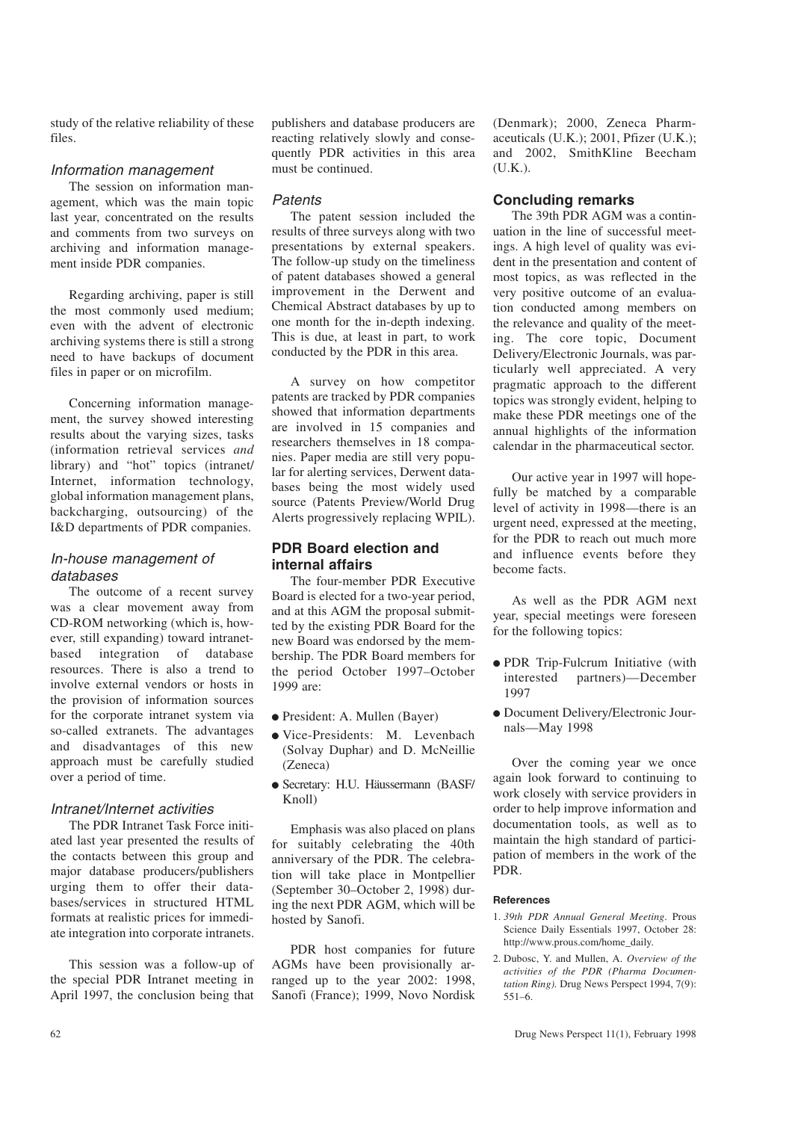study of the relative reliability of these files.

#### Information management

The session on information management, which was the main topic last year, concentrated on the results and comments from two surveys on archiving and information management inside PDR companies.

Regarding archiving, paper is still the most commonly used medium; even with the advent of electronic archiving systems there is still a strong need to have backups of document files in paper or on microfilm.

Concerning information management, the survey showed interesting results about the varying sizes, tasks (information retrieval services and library) and "hot" topics (intranet/ Internet, information technology, global information management plans, backcharging, outsourcing) of the I&D departments of PDR companies.

## In-house management of databases

The outcome of a recent survey was a clear movement away from CD-ROM networking (which is, however, still expanding) toward intranetbased integration of database resources. There is also a trend to involve external vendors or hosts in the provision of information sources for the corporate intranet system via so-called extranets. The advantages and disadvantages of this new approach must be carefully studied over a period of time.

## Intranet/Internet activities

The PDR Intranet Task Force initiated last year presented the results of the contacts between this group and major database producers/publishers urging them to offer their databases/services in structured HTML formats at realistic prices for immediate integration into corporate intranets.

This session was a follow-up of the special PDR Intranet meeting in April 1997, the conclusion being that

publishers and database producers are reacting relatively slowly and consequently PDR activities in this area must be continued.

## Patents

The patent session included the results of three surveys along with two presentations by external speakers. The follow-up study on the timeliness of patent databases showed a general improvement in the Derwent and Chemical Abstract databases by up to one month for the in-depth indexing. This is due, at least in part, to work conducted by the PDR in this area.

A survey on how competitor patents are tracked by PDR companies showed that information departments are involved in 15 companies and researchers themselves in 18 companies. Paper media are still very popular for alerting services, Derwent databases being the most widely used source (Patents Preview/World Drug Alerts progressively replacing WPIL).

## PDR Board election and internal affairs

The four-member PDR Executive Board is elected for a two-year period, and at this AGM the proposal submitted by the existing PDR Board for the new Board was endorsed by the membership. The PDR Board members for the period October 1997–October 1999 are:

- President: A. Mullen (Bayer)
- $\bullet$  Vice-Presidents: M. Levenbach (Solvay Duphar) and D. McNeillie (Zeneca)
- <sup>l</sup> Secretary: H.U. Häussermann (BASF/ Knoll)

Emphasis was also placed on plans for suitably celebrating the 40th anniversary of the PDR. The celebration will take place in Montpellier (September 30-October 2, 1998) during the next PDR AGM, which will be hosted by Sanofi.

PDR host companies for future AGMs have been provisionally arranged up to the year 2002: 1998, Sanofi (France); 1999, Novo Nordisk

(Denmark); 2000, Zeneca Pharmaceuticals (U.K.); 2001, Pfizer (U.K.); and 2002, SmithKline Beecham (U.K.).

## Concluding remarks

The 39th PDR AGM was a continuation in the line of successful meetings. A high level of quality was evident in the presentation and content of most topics, as was reflected in the very positive outcome of an evaluation conducted among members on the relevance and quality of the meeting. The core topic, Document Delivery/Electronic Journals, was particularly well appreciated. A very pragmatic approach to the different topics was strongly evident, helping to make these PDR meetings one of the annual highlights of the information calendar in the pharmaceutical sector.

Our active year in 1997 will hopefully be matched by a comparable level of activity in 1998—there is an urgent need, expressed at the meeting, for the PDR to reach out much more and influence events before they become facts.

As well as the PDR AGM next year, special meetings were foreseen for the following topics:

- <sup>l</sup> PDR Trip-Fulcrum Initiative (with interested partners)-December 1997
- **Document Delivery/Electronic Jour**nals-May 1998

Over the coming year we once again look forward to continuing to work closely with service providers in order to help improve information and documentation tools, as well as to maintain the high standard of participation of members in the work of the PDR.

## **References**

- 1. 39th PDR Annual General Meeting. Prous Science Daily Essentials 1997, October 28: http://www.prous.com/home\_daily.
- 2. Dubosc, Y. and Mullen, A. Overview of the activities of the PDR (Pharma Documentation Ring). Drug News Perspect 1994, 7(9):  $551 - 6.$